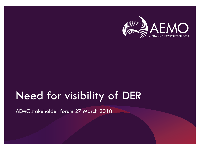

# Need for visibility of DER

AEMC stakeholder forum 27 March 2018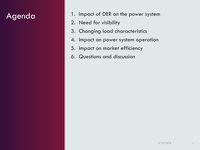#### Agenda

- 1. Impact of DER on the power system
- 2. Need for visibility
- 3. Changing load characteristics
- 4. Impact on power system operation
- 5. Impact on market efficiency
- 6. Questions and discussion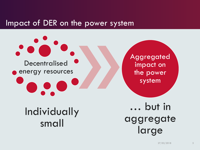#### Impact of DER on the power system



# Individually small

… but in aggregate large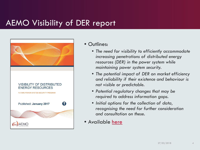### AEMO Visibility of DER report



#### • Outlines:

- *The need for visibility to efficiently accommodate increasing penetrations of distributed energy resources (DER) in the power system while maintaining power system security.*
- *The potential impact of DER on market efficiency and reliability if their existence and behaviour is not visible or predictable.*
- *Potential regulatory changes that may be required to address information gaps.*
- *Initial options for the collection of data, recognising the need for further consideration and consultation on these.*
- Available [here](https://www.aemo.com.au/-/media/Files/Electricity/NEM/Security_and_Reliability/Reports/2016/AEMO-FPSS-program----Visibility-of-DER.pdf)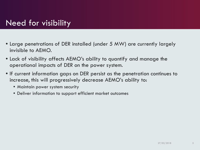### Need for visibility

- Large penetrations of DER installed (under 5 MW) are currently largely invisible to AEMO.
- Lack of visibility affects AEMO's ability to quantify and manage the operational impacts of DER on the power system.
- If current information gaps on DER persist as the penetration continues to increase, this will progressively decrease AEMO's ability to:
	- Maintain power system security
	- Deliver information to support efficient market outcomes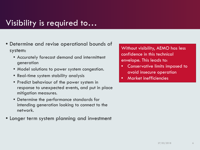#### Visibility is required to…

- Determine and revise operational bounds of system:
	- Accurately forecast demand and intermittent generation
	- Model solutions to power system congestion.
	- Real-time system stability analysis
	- Predict behaviour of the power system in response to unexpected events, and put in place mitigation measures.
	- Determine the performance standards for intending generation looking to connect to the network.
- Longer term system planning and investment

Without visibility, AEMO has less confidence in this technical envelope. This leads to:

- Conservative limits imposed to avoid insecure operation
- Market inefficiencies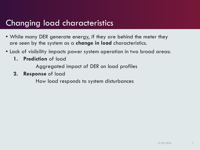#### Changing load characteristics

- While many DER generate energy, if they are behind the meter they are seen by the system as a **change in load** characteristics.
- Lack of visibility impacts power system operation in two broad areas:
	- **1. Prediction** of load

Aggregated impact of DER on load profiles

**2. Response** of load

How load responds to system disturbances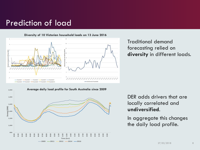#### Prediction of load



Traditional demand forecasting relied on **diversity** in different loads.



DER adds drivers that are locally correlated and **undiversified**.

In aggregate this changes the daily load profile.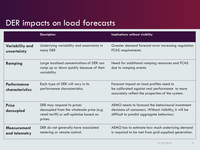## DER impacts on load forecasts

|                                       | <b>Description</b>                                                                                                           | Implications without visibility                                                                                                                          |
|---------------------------------------|------------------------------------------------------------------------------------------------------------------------------|----------------------------------------------------------------------------------------------------------------------------------------------------------|
| <b>Variability and</b><br>uncertainty | Underlying variability and uncertainty in<br>many DER                                                                        | Greater demand forecast error increasing regulation<br><b>FCAS</b> requirements.                                                                         |
| Ramping                               | Large localised concentrations of DER can<br>ramp up or down quickly because of their<br>variability                         | Need for additional ramping resources and FCAS<br>due to ramping events.                                                                                 |
| <b>Performance</b><br>characteristics | Each type of DER will vary in its<br>performance characteristics.                                                            | Forecast impact on load profiles need to<br>be calibrated against real performance to more<br>accurately reflect the properties of the system.           |
| <b>Price</b><br>decoupled             | DER may respond to prices<br>decoupled from the wholesale price (e.g.<br>retail tariff) or self-optimise based on<br>prices. | AEMO needs to forecast the behavioural investment<br>decisions of consumers. Without visibility, it will be<br>difficult to predict aggregate behaviour. |
| <b>Measurement</b><br>and telemetry   | DER do not generally have associated<br>metering or remote control.                                                          | AEMO has to estimate how much underlying demand<br>is required to be met from grid-supplied generation.                                                  |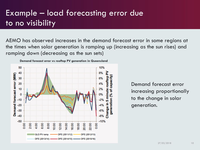## Example – load forecasting error due to no visibility

AEMO has observed increases in the demand forecast error in some regions at the times when solar generation is ramping up (increasing as the sun rises) and ramping down (decreasing as the sun sets)



Demand forecast error increasing proportionally to the change in solar generation.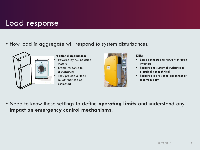#### Load response

#### • How load in aggregate will respond to system disturbances.



#### **Traditional appliances:**

- Powered by AC induction motors
- Stable response to disturbances
- They provide a "load relief" that can be estimated



#### **DER:**

- Some connected to network through inverters
- Response to system disturbance is **electrical** not **technical**
- Response is pre-set to disconnect at a certain point

• Need to know these settings to define **operating limits** and understand any **impact on emergency control mechanisms**.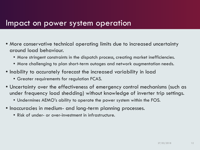#### Impact on power system operation

- More conservative technical operating limits due to increased uncertainty around load behaviour.
	- More stringent constraints in the dispatch process, creating market inefficiencies.
	- More challenging to plan short-term outages and network augmentation needs.
- Inability to accurately forecast the increased variability in load
	- Greater requirements for regulation FCAS.
- Uncertainty over the effectiveness of emergency control mechanisms (such as under frequency load shedding) without knowledge of inverter trip settings.
	- Undermines AEMO's ability to operate the power system within the FOS.
- Inaccuracies in medium- and long-term planning processes.
	- Risk of under- or over-investment in infrastructure.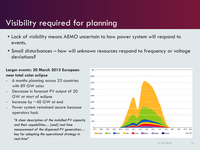## Visibility required for planning

- Lack of visibility means AEMO uncertain to how power system will respond to events.
- Small disturbances how will unknown resources respond to frequency or voltage deviations?

#### **Larger events: 20 March 2015 European near total solar eclipse**

- 6 months planning across 23 countries with 89 GW solar
- Decrease in forecast PV output of 20 GW at start of eclipse
- Increase by  $\sim$  40 GW at end
- Power system remained secure because operators had:

*"A clear description of the installed PV capacity and their capabilities… [and] real time measurement of the dispersed PV generation… key for adapting the operational strategy in real-time"*

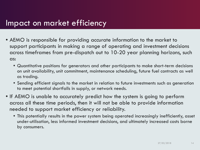#### Impact on market efficiency

- AEMO is responsible for providing accurate information to the market to support participants in making a range of operating and investment decisions across timeframes from pre-dispatch out to 10-20 year planning horizons, such as:
	- Quantitative positions for generators and other participants to make short-term decisions on unit availability, unit commitment, maintenance scheduling, future fuel contracts as well as trading.
	- Sending efficient signals to the market in relation to future investments such as generation to meet potential shortfalls in supply, or network needs.
- If AEMO is unable to accurately predict how the system is going to perform across all these time periods, then it will not be able to provide information needed to support market efficiency or reliability.
	- This potentially results in the power system being operated increasingly inefficiently, asset under-utilisation, less informed investment decisions, and ultimately increased costs borne by consumers.